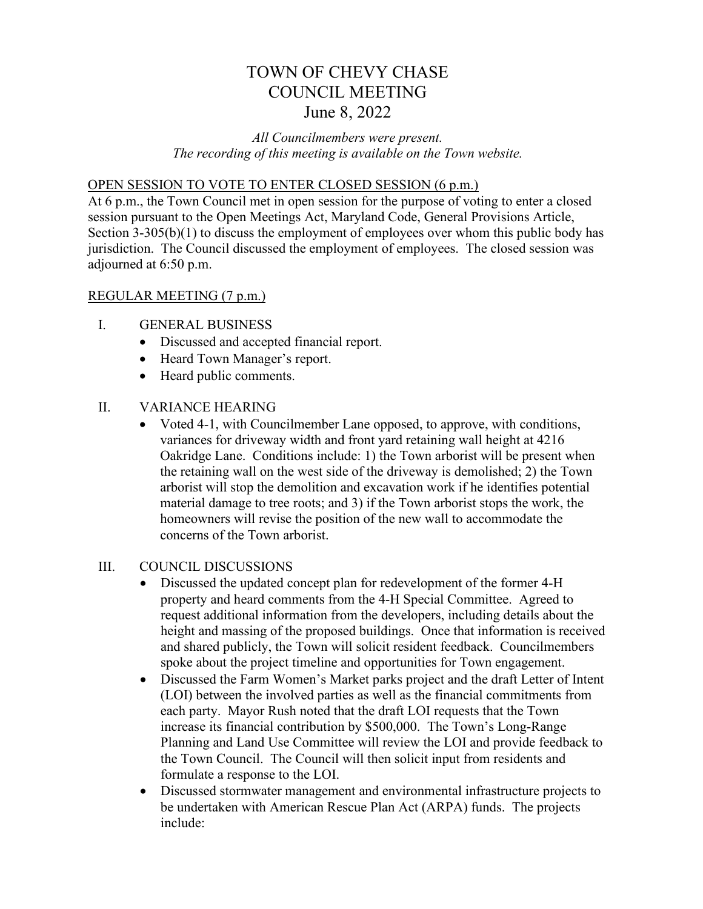# TOWN OF CHEVY CHASE COUNCIL MEETING June 8, 2022

## *All Councilmembers were present. The recording of this meeting is available on the Town website.*

#### OPEN SESSION TO VOTE TO ENTER CLOSED SESSION (6 p.m.)

At 6 p.m., the Town Council met in open session for the purpose of voting to enter a closed session pursuant to the Open Meetings Act, Maryland Code, General Provisions Article, Section 3-305(b)(1) to discuss the employment of employees over whom this public body has jurisdiction. The Council discussed the employment of employees. The closed session was adjourned at 6:50 p.m.

### REGULAR MEETING (7 p.m.)

- I. GENERAL BUSINESS
	- Discussed and accepted financial report.
	- Heard Town Manager's report.
	- Heard public comments.

### II. VARIANCE HEARING

• Voted 4-1, with Councilmember Lane opposed, to approve, with conditions, variances for driveway width and front yard retaining wall height at 4216 Oakridge Lane. Conditions include: 1) the Town arborist will be present when the retaining wall on the west side of the driveway is demolished; 2) the Town arborist will stop the demolition and excavation work if he identifies potential material damage to tree roots; and 3) if the Town arborist stops the work, the homeowners will revise the position of the new wall to accommodate the concerns of the Town arborist.

#### III. COUNCIL DISCUSSIONS

- Discussed the updated concept plan for redevelopment of the former 4-H property and heard comments from the 4-H Special Committee. Agreed to request additional information from the developers, including details about the height and massing of the proposed buildings. Once that information is received and shared publicly, the Town will solicit resident feedback. Councilmembers spoke about the project timeline and opportunities for Town engagement.
- Discussed the Farm Women's Market parks project and the draft Letter of Intent (LOI) between the involved parties as well as the financial commitments from each party. Mayor Rush noted that the draft LOI requests that the Town increase its financial contribution by \$500,000. The Town's Long-Range Planning and Land Use Committee will review the LOI and provide feedback to the Town Council. The Council will then solicit input from residents and formulate a response to the LOI.
- Discussed stormwater management and environmental infrastructure projects to be undertaken with American Rescue Plan Act (ARPA) funds. The projects include: